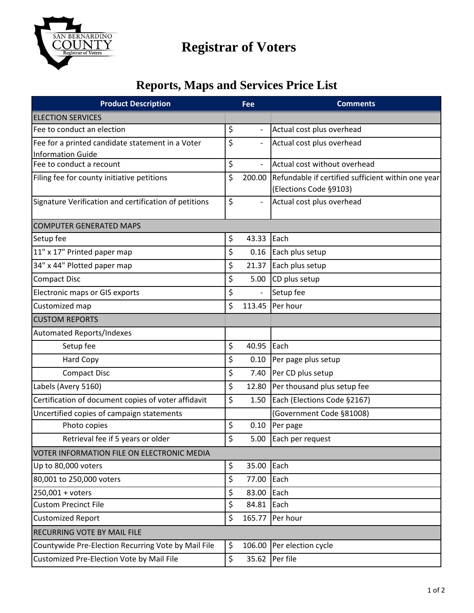

# **Registrar of Voters**

### **Reports, Maps and Services Price List**

| <b>Product Description</b>                                                   |    | Fee                      | <b>Comments</b>                                                              |  |
|------------------------------------------------------------------------------|----|--------------------------|------------------------------------------------------------------------------|--|
| <b>ELECTION SERVICES</b>                                                     |    |                          |                                                                              |  |
| Fee to conduct an election                                                   | \$ |                          | Actual cost plus overhead                                                    |  |
| Fee for a printed candidate statement in a Voter<br><b>Information Guide</b> | \$ |                          | Actual cost plus overhead                                                    |  |
| Fee to conduct a recount                                                     | \$ | $\overline{\phantom{a}}$ | Actual cost without overhead                                                 |  |
| Filing fee for county initiative petitions                                   | \$ | 200.00                   | Refundable if certified sufficient within one year<br>(Elections Code §9103) |  |
| Signature Verification and certification of petitions                        | \$ | $\overline{\phantom{a}}$ | Actual cost plus overhead                                                    |  |
| <b>COMPUTER GENERATED MAPS</b>                                               |    |                          |                                                                              |  |
| Setup fee                                                                    | \$ | 43.33                    | Each                                                                         |  |
| 11" x 17" Printed paper map                                                  | \$ | 0.16                     | Each plus setup                                                              |  |
| 34" x 44" Plotted paper map                                                  | \$ | 21.37                    | Each plus setup                                                              |  |
| <b>Compact Disc</b>                                                          | \$ | 5.00                     | CD plus setup                                                                |  |
| <b>Electronic maps or GIS exports</b>                                        | \$ |                          | Setup fee                                                                    |  |
| Customized map                                                               | \$ | 113.45                   | Per hour                                                                     |  |
| <b>CUSTOM REPORTS</b>                                                        |    |                          |                                                                              |  |
| <b>Automated Reports/Indexes</b>                                             |    |                          |                                                                              |  |
| Setup fee                                                                    | \$ | 40.95                    | Each                                                                         |  |
| <b>Hard Copy</b>                                                             | \$ | 0.10                     | Per page plus setup                                                          |  |
| <b>Compact Disc</b>                                                          | \$ | 7.40                     | Per CD plus setup                                                            |  |
| Labels (Avery 5160)                                                          | \$ | 12.80                    | Per thousand plus setup fee                                                  |  |
| Certification of document copies of voter affidavit                          | \$ | 1.50                     | Each (Elections Code §2167)                                                  |  |
| Uncertified copies of campaign statements                                    |    |                          | (Government Code §81008)                                                     |  |
| Photo copies                                                                 | \$ | 0.10                     | Per page                                                                     |  |
| Retrieval fee if 5 years or older                                            | \$ | 5.00                     | Each per request                                                             |  |
| VOTER INFORMATION FILE ON ELECTRONIC MEDIA                                   |    |                          |                                                                              |  |
| Up to 80,000 voters                                                          | \$ | 35.00                    | Each                                                                         |  |
| 80,001 to 250,000 voters                                                     | \$ | 77.00                    | Each                                                                         |  |
| 250,001 + voters                                                             | \$ | 83.00                    | Each                                                                         |  |
| <b>Custom Precinct File</b>                                                  | \$ | 84.81                    | Each                                                                         |  |
| <b>Customized Report</b>                                                     | \$ | 165.77                   | Per hour                                                                     |  |
| <b>RECURRING VOTE BY MAIL FILE</b>                                           |    |                          |                                                                              |  |
| Countywide Pre-Election Recurring Vote by Mail File                          | \$ | 106.00                   | Per election cycle                                                           |  |
| Customized Pre-Election Vote by Mail File                                    | \$ | 35.62                    | Per file                                                                     |  |